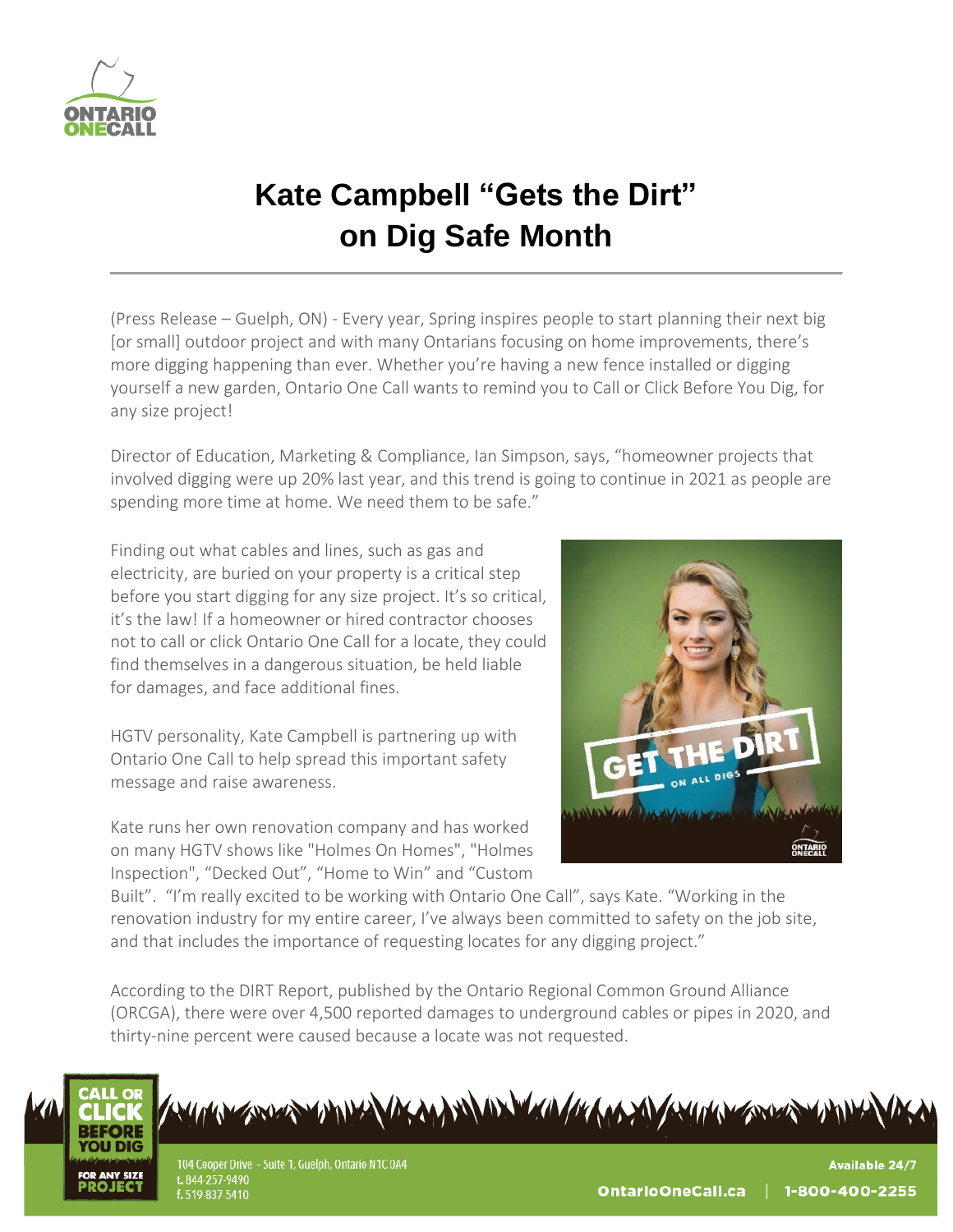

## **Kate Campbell "Gets the Dirt" on Dig Safe Month**

(Press Release – Guelph, ON) - Every year, Spring inspires people to start planning their next big [or small] outdoor project and with many Ontarians focusing on home improvements, there's more digging happening than ever. Whether you're having a new fence installed or digging yourself a new garden, Ontario One Call wants to remind you to Call or Click Before You Dig, for any size project!

Director of Education, Marketing & Compliance, Ian Simpson, says, "homeowner projects that involved digging were up 20% last year, and this trend is going to continue in 2021 as people are spending more time at home. We need them to be safe."

Finding out what cables and lines, such as gas and electricity, are buried on your property is a critical step before you start digging for any size project. It's so critical, it's the law! If a homeowner or hired contractor chooses not to call or click Ontario One Call for a locate, they could find themselves in a dangerous situation, be held liable for damages, and face additional fines.

HGTV personality, Kate Campbell is partnering up with Ontario One Call to help spread this important safety message and raise awareness.

Kate runs her own renovation company and has worked on many HGTV shows like "Holmes On Homes", "Holmes Inspection", "Decked Out", "Home to Win" and "Custom



Built". "I'm really excited to be working with Ontario One Call", says Kate. "Working in the renovation industry for my entire career, I've always been committed to safety on the job site, and that includes the importance of requesting locates for any digging project."

According to the DIRT Report, published by the Ontario Regional Common Ground Alliance (ORCGA), there were over 4,500 reported damages to underground cables or pipes in 2020, and thirty-nine percent were caused because a locate was not requested.



An Exercise AMERICAN AND MONTANO AND AN AMERICAN STREET AMERICA

104 Cooper Drive - Suite 1, Guelph, Ontario N1C 0A4 t. 844-257-9490 f. 519-837-5410

**Available 24/7** OntarioOneCall.ca 1-800-400-2255